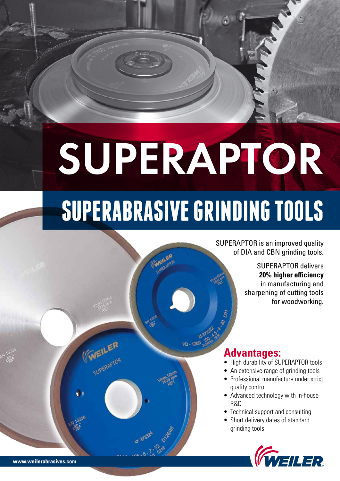# SUPERAPTOR

## **SUPERABRASIVE GRINDING TOOLS**

SUPERAPTOR is an improved quality of DIA and CBN grinding tools.

> SUPERAPTOR delivers **20% higher efficiency** in manufacturing and sharpening of cutting tools for woodworking.



- High durability of SUPERAPTOR tools
- An extensive range of grinding tools
- Professional manufacture under strict quality control
- Advanced technology with in-house R&D
- Technical support and consulting
- Short delivery dates of standard grinding tools



(WEILER

**WEILE:**